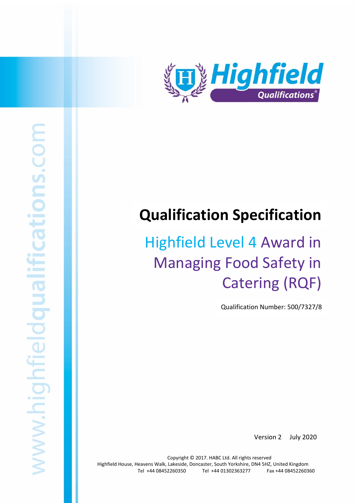

# **Qualification Specification**

# Highfield Level 4 Award in Managing Food Safety in Catering (RQF)

Qualification Number: 500/7327/8

Version 2 July 2020

Highfield Level 4 Award in Managing Food Safety in Catering (RQF) 1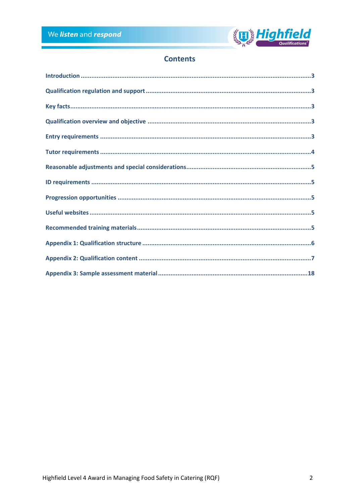

# **Contents**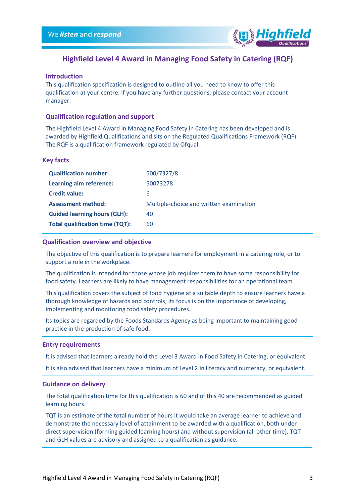

# **Highfield Level 4 Award in Managing Food Safety in Catering (RQF)**

## <span id="page-2-0"></span>**Introduction**

This qualification specification is designed to outline all you need to know to offer this qualification at your centre. If you have any further questions, please contact your account manager.

#### <span id="page-2-1"></span>**Qualification regulation and support**

The Highfield Level 4 Award in Managing Food Safety in Catering has been developed and is awarded by Highfield Qualifications and sits on the Regulated Qualifications Framework (RQF). The RQF is a qualification framework regulated by Ofqual.

#### <span id="page-2-2"></span>**Key facts**

| <b>Qualification number:</b>           | 500/7327/8                              |
|----------------------------------------|-----------------------------------------|
| Learning aim reference:                | 50073278                                |
| <b>Credit value:</b>                   | 6                                       |
| <b>Assessment method:</b>              | Multiple-choice and written examination |
| <b>Guided learning hours (GLH):</b>    | 40                                      |
| <b>Total qualification time (TQT):</b> | 60                                      |

#### <span id="page-2-3"></span>**Qualification overview and objective**

The objective of this qualification is to prepare learners for employment in a catering role, or to support a role in the workplace.

The qualification is intended for those whose job requires them to have some responsibility for food safety. Learners are likely to have management responsibilities for an operational team.

This qualification covers the subject of food hygiene at a suitable depth to ensure learners have a thorough knowledge of hazards and controls; its focus is on the importance of developing, implementing and monitoring food safety procedures.

Its topics are regarded by the Foods Standards Agency as being important to maintaining good practice in the production of safe food.

#### <span id="page-2-4"></span>**Entry requirements**

It is advised that learners already hold the Level 3 Award in Food Safety in Catering, or equivalent.

It is also advised that learners have a minimum of Level 2 in literacy and numeracy, or equivalent.

#### **Guidance on delivery**

The total qualification time for this qualification is 60 and of this 40 are recommended as guided learning hours.

TQT is an estimate of the total number of hours it would take an average learner to achieve and demonstrate the necessary level of attainment to be awarded with a qualification, both under direct supervision (forming guided learning hours) and without supervision (all other time). TQT and GLH values are advisory and assigned to a qualification as guidance.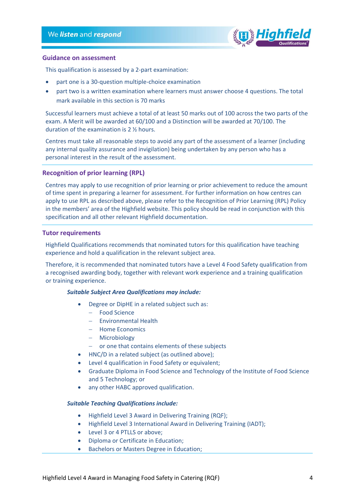

### **Guidance on assessment**

This qualification is assessed by a 2-part examination:

- part one is a 30-question multiple-choice examination
- part two is a written examination where learners must answer choose 4 questions. The total mark available in this section is 70 marks

Successful learners must achieve a total of at least 50 marks out of 100 across the two parts of the exam. A Merit will be awarded at 60/100 and a Distinction will be awarded at 70/100. The duration of the examination is 2 ½ hours.

Centres must take all reasonable steps to avoid any part of the assessment of a learner (including any internal quality assurance and invigilation) being undertaken by any person who has a personal interest in the result of the assessment.

### **Recognition of prior learning (RPL)**

Centres may apply to use recognition of prior learning or prior achievement to reduce the amount of time spent in preparing a learner for assessment. For further information on how centres can apply to use RPL as described above, please refer to the Recognition of Prior Learning (RPL) Policy in the members' area of the Highfield website. This policy should be read in conjunction with this specification and all other relevant Highfield documentation.

## <span id="page-3-0"></span>**Tutor requirements**

Highfield Qualifications recommends that nominated tutors for this qualification have teaching experience and hold a qualification in the relevant subject area.

Therefore, it is recommended that nominated tutors have a Level 4 Food Safety qualification from a recognised awarding body, together with relevant work experience and a training qualification or training experience.

### *Suitable Subject Area Qualifications may include:*

- Degree or DipHE in a related subject such as:
	- − Food Science
	- − Environmental Health
	- − Home Economics
	- − Microbiology
	- − or one that contains elements of these subjects
- HNC/D in a related subject (as outlined above);
- Level 4 qualification in Food Safety or equivalent;
- Graduate Diploma in Food Science and Technology of the Institute of Food Science and 5 Technology; or
- any other HABC approved qualification.

#### *Suitable Teaching Qualifications include:*

- Highfield Level 3 Award in Delivering Training (RQF);
- Highfield Level 3 International Award in Delivering Training (IADT);
- Level 3 or 4 PTLLS or above;
- Diploma or Certificate in Education;
- Bachelors or Masters Degree in Education;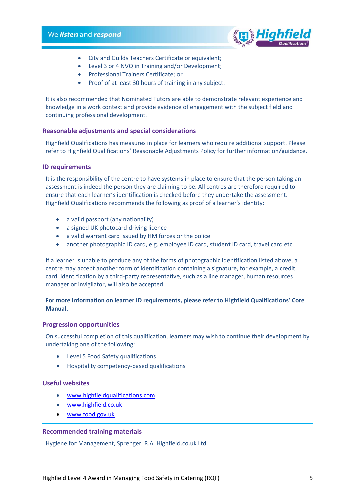

- City and Guilds Teachers Certificate or equivalent;
- Level 3 or 4 NVQ in Training and/or Development;
- Professional Trainers Certificate; or
- Proof of at least 30 hours of training in any subject.

It is also recommended that Nominated Tutors are able to demonstrate relevant experience and knowledge in a work context and provide evidence of engagement with the subject field and continuing professional development.

#### <span id="page-4-0"></span>**Reasonable adjustments and special considerations**

Highfield Qualifications has measures in place for learners who require additional support. Please refer to Highfield Qualifications' Reasonable Adjustments Policy for further information/guidance.

#### <span id="page-4-1"></span>**ID requirements**

It is the responsibility of the centre to have systems in place to ensure that the person taking an assessment is indeed the person they are claiming to be. All centres are therefore required to ensure that each learner's identification is checked before they undertake the assessment. Highfield Qualifications recommends the following as proof of a learner's identity:

- a valid passport (any nationality)
- a signed UK photocard driving licence
- a valid warrant card issued by HM forces or the police
- another photographic ID card, e.g. employee ID card, student ID card, travel card etc.

If a learner is unable to produce any of the forms of photographic identification listed above, a centre may accept another form of identification containing a signature, for example, a credit card. Identification by a third-party representative, such as a line manager, human resources manager or invigilator, will also be accepted.

## **For more information on learner ID requirements, please refer to Highfield Qualifications' Core Manual.**

#### <span id="page-4-2"></span>**Progression opportunities**

On successful completion of this qualification, learners may wish to continue their development by undertaking one of the following:

- Level 5 Food Safety qualifications
- Hospitality competency-based qualifications

### <span id="page-4-3"></span>**Useful websites**

- [www.highfieldqualifications.com](http://www.highfieldqualifications.com/)
- [www.highfield.co.uk](http://www.highfield.co.uk/)
- [www.food.gov.uk](http://www.food.gov.uk/)

#### <span id="page-4-4"></span>**Recommended training materials**

Hygiene for Management, Sprenger, R.A. Highfield.co.uk Ltd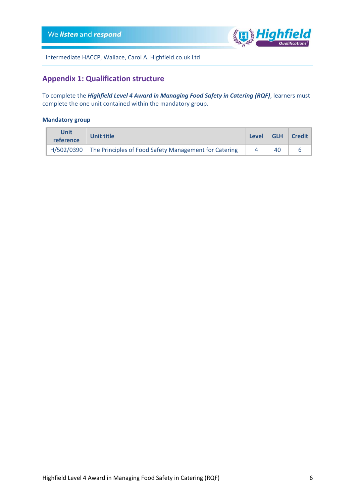

Intermediate HACCP, Wallace, Carol A. Highfield.co.uk Ltd

## <span id="page-5-0"></span>**Appendix 1: Qualification structure**

To complete the *Highfield Level 4 Award in Managing Food Safety in Catering (RQF)*, learners must complete the one unit contained within the mandatory group.

## **Mandatory group**

| Unit<br>Unit title<br>reference |                                                                  | <b>Level</b> | <b>GLH</b> | Credit |
|---------------------------------|------------------------------------------------------------------|--------------|------------|--------|
|                                 | H/502/0390 The Principles of Food Safety Management for Catering |              | 40         |        |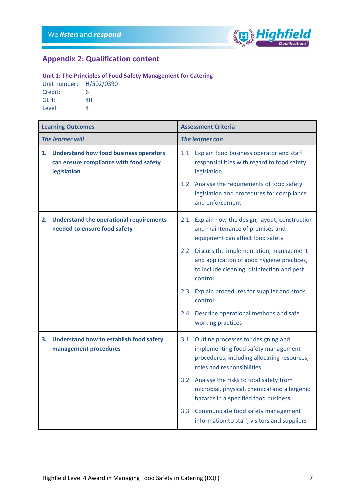

# <span id="page-6-0"></span>**Appendix 2: Qualification content**

## **Unit 1: The Principles of Food Safety Management for Catering**

Unit number: H/502/0390 Credit: 6 GLH: 40 Level: 4

| <b>Learning Outcomes</b> |                                                                                                        | <b>Assessment Criteria</b> |                                                                                                                                                         |  |
|--------------------------|--------------------------------------------------------------------------------------------------------|----------------------------|---------------------------------------------------------------------------------------------------------------------------------------------------------|--|
| <b>The learner will</b>  |                                                                                                        | The learner can            |                                                                                                                                                         |  |
| 1.                       | <b>Understand how food business operators</b><br>can ensure compliance with food safety<br>legislation | 1.1                        | Explain food business operator and staff<br>responsibilities with regard to food safety<br>legislation                                                  |  |
|                          |                                                                                                        | 1.2                        | Analyse the requirements of food safety<br>legislation and procedures for compliance<br>and enforcement                                                 |  |
|                          | 2. Understand the operational requirements<br>needed to ensure food safety                             | 2.1                        | Explain how the design, layout, construction<br>and maintenance of premises and<br>equipment can affect food safety                                     |  |
|                          |                                                                                                        | $2.2^{\circ}$              | Discuss the implementation, management<br>and application of good hygiene practices,<br>to include cleaning, disinfection and pest<br>control           |  |
|                          |                                                                                                        | 2.3                        | Explain procedures for supplier and stock<br>control                                                                                                    |  |
|                          |                                                                                                        | 2.4                        | Describe operational methods and safe<br>working practices                                                                                              |  |
| 3.                       | Understand how to establish food safety<br>management procedures                                       | 3.1                        | Outline processes for designing and<br>implementing food safety management<br>procedures, including allocating resources,<br>roles and responsibilities |  |
|                          |                                                                                                        | 3.2                        | Analyse the risks to food safety from<br>microbial, physical, chemical and allergenic<br>hazards in a specified food business                           |  |
|                          |                                                                                                        | 3.3 <sub>1</sub>           | Communicate food safety management<br>information to staff, visitors and suppliers                                                                      |  |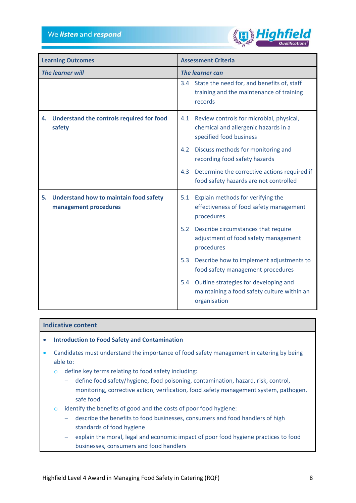

| <b>Learning Outcomes</b> |                                                                    | <b>Assessment Criteria</b> |                                                                                                             |  |
|--------------------------|--------------------------------------------------------------------|----------------------------|-------------------------------------------------------------------------------------------------------------|--|
| <b>The learner will</b>  |                                                                    | <b>The learner can</b>     |                                                                                                             |  |
|                          |                                                                    |                            | 3.4 State the need for, and benefits of, staff<br>training and the maintenance of training<br>records       |  |
| 4.<br>safety             | Understand the controls required for food                          | 4.1                        | Review controls for microbial, physical,<br>chemical and allergenic hazards in a<br>specified food business |  |
|                          |                                                                    | 4.2                        | Discuss methods for monitoring and<br>recording food safety hazards                                         |  |
|                          |                                                                    | 4.3                        | Determine the corrective actions required if<br>food safety hazards are not controlled                      |  |
|                          | 5. Understand how to maintain food safety<br>management procedures | 5.1                        | Explain methods for verifying the<br>effectiveness of food safety management<br>procedures                  |  |
|                          |                                                                    | 5.2                        | Describe circumstances that require<br>adjustment of food safety management<br>procedures                   |  |
|                          |                                                                    | 5.3                        | Describe how to implement adjustments to<br>food safety management procedures                               |  |
|                          |                                                                    | 5.4                        | Outline strategies for developing and<br>maintaining a food safety culture within an<br>organisation        |  |

## **Indicative content**

- **Introduction to Food Safety and Contamination**
- Candidates must understand the importance of food safety management in catering by being able to:
	- o define key terms relating to food safety including:
		- − define food safety/hygiene, food poisoning, contamination, hazard, risk, control, monitoring, corrective action, verification, food safety management system, pathogen, safe food
	- o identify the benefits of good and the costs of poor food hygiene:
		- − describe the benefits to food businesses, consumers and food handlers of high standards of food hygiene
		- explain the moral, legal and economic impact of poor food hygiene practices to food businesses, consumers and food handlers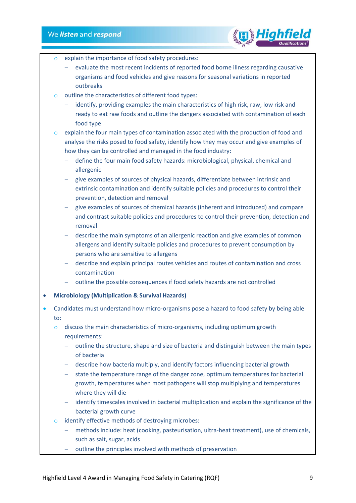

- explain the importance of food safety procedures:
	- evaluate the most recent incidents of reported food borne illness regarding causative organisms and food vehicles and give reasons for seasonal variations in reported outbreaks
- o outline the characteristics of different food types:
	- − identify, providing examples the main characteristics of high risk, raw, low risk and ready to eat raw foods and outline the dangers associated with contamination of each food type
- o explain the four main types of contamination associated with the production of food and analyse the risks posed to food safety, identify how they may occur and give examples of how they can be controlled and managed in the food industry:
	- − define the four main food safety hazards: microbiological, physical, chemical and allergenic
	- − give examples of sources of physical hazards, differentiate between intrinsic and extrinsic contamination and identify suitable policies and procedures to control their prevention, detection and removal
	- − give examples of sources of chemical hazards (inherent and introduced) and compare and contrast suitable policies and procedures to control their prevention, detection and removal
	- describe the main symptoms of an allergenic reaction and give examples of common allergens and identify suitable policies and procedures to prevent consumption by persons who are sensitive to allergens
	- − describe and explain principal routes vehicles and routes of contamination and cross contamination
	- − outline the possible consequences if food safety hazards are not controlled
- **Microbiology (Multiplication & Survival Hazards)**
- Candidates must understand how micro-organisms pose a hazard to food safety by being able to:
	- o discuss the main characteristics of micro-organisms, including optimum growth requirements:
		- − outline the structure, shape and size of bacteria and distinguish between the main types of bacteria
		- − describe how bacteria multiply, and identify factors influencing bacterial growth
		- − state the temperature range of the danger zone, optimum temperatures for bacterial growth, temperatures when most pathogens will stop multiplying and temperatures where they will die
		- − identify timescales involved in bacterial multiplication and explain the significance of the bacterial growth curve
	- o identify effective methods of destroying microbes:
		- − methods include: heat (cooking, pasteurisation, ultra-heat treatment), use of chemicals, such as salt, sugar, acids
		- − outline the principles involved with methods of preservation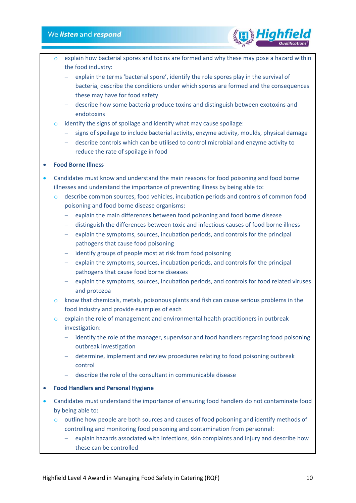- explain how bacterial spores and toxins are formed and why these may pose a hazard within the food industry:
- − explain the terms 'bacterial spore', identify the role spores play in the survival of bacteria, describe the conditions under which spores are formed and the consequences these may have for food safety
- − describe how some bacteria produce toxins and distinguish between exotoxins and endotoxins
- $\circ$  identify the signs of spoilage and identify what may cause spoilage:
	- − signs of spoilage to include bacterial activity, enzyme activity, moulds, physical damage
	- − describe controls which can be utilised to control microbial and enzyme activity to reduce the rate of spoilage in food

## • **Food Borne Illness**

- Candidates must know and understand the main reasons for food poisoning and food borne illnesses and understand the importance of preventing illness by being able to:
	- $\circ$  describe common sources, food vehicles, incubation periods and controls of common food poisoning and food borne disease organisms:
		- − explain the main differences between food poisoning and food borne disease
		- − distinguish the differences between toxic and infectious causes of food borne illness
		- explain the symptoms, sources, incubation periods, and controls for the principal pathogens that cause food poisoning
		- − identify groups of people most at risk from food poisoning
		- explain the symptoms, sources, incubation periods, and controls for the principal pathogens that cause food borne diseases
		- explain the symptoms, sources, incubation periods, and controls for food related viruses and protozoa
	- o know that chemicals, metals, poisonous plants and fish can cause serious problems in the food industry and provide examples of each
	- $\circ$  explain the role of management and environmental health practitioners in outbreak investigation:
		- − identify the role of the manager, supervisor and food handlers regarding food poisoning outbreak investigation
		- − determine, implement and review procedures relating to food poisoning outbreak control
		- − describe the role of the consultant in communicable disease
- **Food Handlers and Personal Hygiene**
- Candidates must understand the importance of ensuring food handlers do not contaminate food by being able to:
	- o outline how people are both sources and causes of food poisoning and identify methods of controlling and monitoring food poisoning and contamination from personnel:
		- explain hazards associated with infections, skin complaints and injury and describe how these can be controlled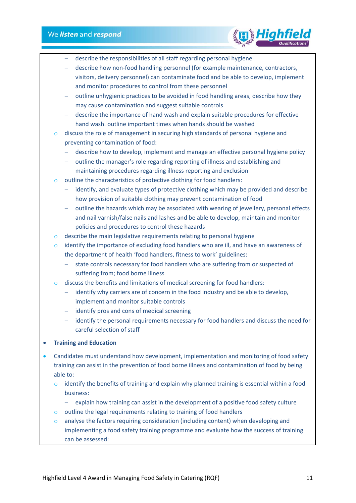

- − describe the responsibilities of all staff regarding personal hygiene
- − describe how non-food handling personnel (for example maintenance, contractors, visitors, delivery personnel) can contaminate food and be able to develop, implement and monitor procedures to control from these personnel
- − outline unhygienic practices to be avoided in food handling areas, describe how they may cause contamination and suggest suitable controls
- − describe the importance of hand wash and explain suitable procedures for effective hand wash. outline important times when hands should be washed
- o discuss the role of management in securing high standards of personal hygiene and preventing contamination of food:
	- − describe how to develop, implement and manage an effective personal hygiene policy
	- − outline the manager's role regarding reporting of illness and establishing and maintaining procedures regarding illness reporting and exclusion
- o outline the characteristics of protective clothing for food handlers:
	- − identify, and evaluate types of protective clothing which may be provided and describe how provision of suitable clothing may prevent contamination of food
	- − outline the hazards which may be associated with wearing of jewellery, personal effects and nail varnish/false nails and lashes and be able to develop, maintain and monitor policies and procedures to control these hazards
- o describe the main legislative requirements relating to personal hygiene
- o identify the importance of excluding food handlers who are ill, and have an awareness of the department of health 'food handlers, fitness to work' guidelines:
	- − state controls necessary for food handlers who are suffering from or suspected of suffering from; food borne illness
- o discuss the benefits and limitations of medical screening for food handlers:
	- − identify why carriers are of concern in the food industry and be able to develop, implement and monitor suitable controls
	- − identify pros and cons of medical screening
	- − identify the personal requirements necessary for food handlers and discuss the need for careful selection of staff
- **Training and Education**
- Candidates must understand how development, implementation and monitoring of food safety training can assist in the prevention of food borne illness and contamination of food by being able to:
	- $\circ$  identify the benefits of training and explain why planned training is essential within a food business:
		- − explain how training can assist in the development of a positive food safety culture
	- o outline the legal requirements relating to training of food handlers
	- o analyse the factors requiring consideration (including content) when developing and implementing a food safety training programme and evaluate how the success of training can be assessed: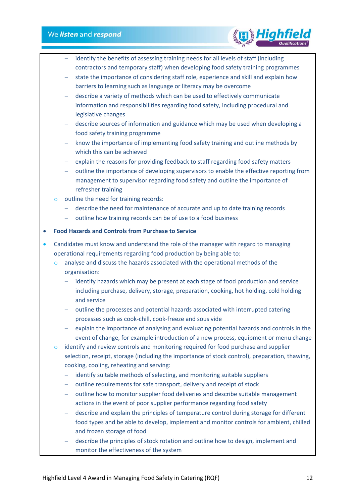- identify the benefits of assessing training needs for all levels of staff (including contractors and temporary staff) when developing food safety training programmes
- state the importance of considering staff role, experience and skill and explain how barriers to learning such as language or literacy may be overcome
- − describe a variety of methods which can be used to effectively communicate information and responsibilities regarding food safety, including procedural and legislative changes
- − describe sources of information and guidance which may be used when developing a food safety training programme
- − know the importance of implementing food safety training and outline methods by which this can be achieved
- explain the reasons for providing feedback to staff regarding food safety matters
- − outline the importance of developing supervisors to enable the effective reporting from management to supervisor regarding food safety and outline the importance of refresher training
- o outline the need for training records:
	- − describe the need for maintenance of accurate and up to date training records
	- − outline how training records can be of use to a food business

## • **Food Hazards and Controls from Purchase to Service**

- Candidates must know and understand the role of the manager with regard to managing operational requirements regarding food production by being able to:
	- o analyse and discuss the hazards associated with the operational methods of the organisation:
		- − identify hazards which may be present at each stage of food production and service including purchase, delivery, storage, preparation, cooking, hot holding, cold holding and service
		- − outline the processes and potential hazards associated with interrupted catering processes such as cook-chill, cook-freeze and sous vide
		- explain the importance of analysing and evaluating potential hazards and controls in the event of change, for example introduction of a new process, equipment or menu change
	- $\circ$  identify and review controls and monitoring required for food purchase and supplier selection, receipt, storage (including the importance of stock control), preparation, thawing, cooking, cooling, reheating and serving:
		- − identify suitable methods of selecting, and monitoring suitable suppliers
		- − outline requirements for safe transport, delivery and receipt of stock
		- − outline how to monitor supplier food deliveries and describe suitable management actions in the event of poor supplier performance regarding food safety
		- − describe and explain the principles of temperature control during storage for different food types and be able to develop, implement and monitor controls for ambient, chilled and frozen storage of food
		- − describe the principles of stock rotation and outline how to design, implement and monitor the effectiveness of the system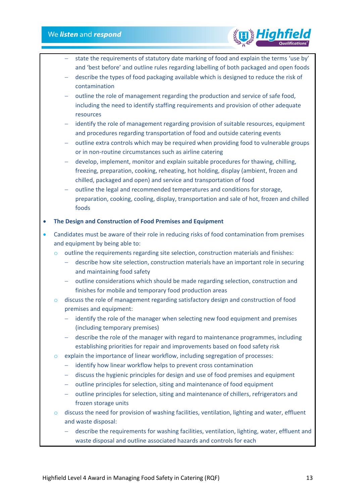− state the requirements of statutory date marking of food and explain the terms 'use by' and 'best before' and outline rules regarding labelling of both packaged and open foods

High

- − describe the types of food packaging available which is designed to reduce the risk of contamination
- − outline the role of management regarding the production and service of safe food, including the need to identify staffing requirements and provision of other adequate resources
- identify the role of management regarding provision of suitable resources, equipment and procedures regarding transportation of food and outside catering events
- − outline extra controls which may be required when providing food to vulnerable groups or in non-routine circumstances such as airline catering
- − develop, implement, monitor and explain suitable procedures for thawing, chilling, freezing, preparation, cooking, reheating, hot holding, display (ambient, frozen and chilled, packaged and open) and service and transportation of food
- − outline the legal and recommended temperatures and conditions for storage, preparation, cooking, cooling, display, transportation and sale of hot, frozen and chilled foods

#### • **The Design and Construction of Food Premises and Equipment**

- Candidates must be aware of their role in reducing risks of food contamination from premises and equipment by being able to:
	- $\circ$  outline the requirements regarding site selection, construction materials and finishes:
		- − describe how site selection, construction materials have an important role in securing and maintaining food safety
		- − outline considerations which should be made regarding selection, construction and finishes for mobile and temporary food production areas
	- o discuss the role of management regarding satisfactory design and construction of food premises and equipment:
		- − identify the role of the manager when selecting new food equipment and premises (including temporary premises)
		- − describe the role of the manager with regard to maintenance programmes, including establishing priorities for repair and improvements based on food safety risk
	- o explain the importance of linear workflow, including segregation of processes:
		- − identify how linear workflow helps to prevent cross contamination
		- − discuss the hygienic principles for design and use of food premises and equipment
		- − outline principles for selection, siting and maintenance of food equipment
		- − outline principles for selection, siting and maintenance of chillers, refrigerators and frozen storage units
	- o discuss the need for provision of washing facilities, ventilation, lighting and water, effluent and waste disposal:
		- − describe the requirements for washing facilities, ventilation, lighting, water, effluent and waste disposal and outline associated hazards and controls for each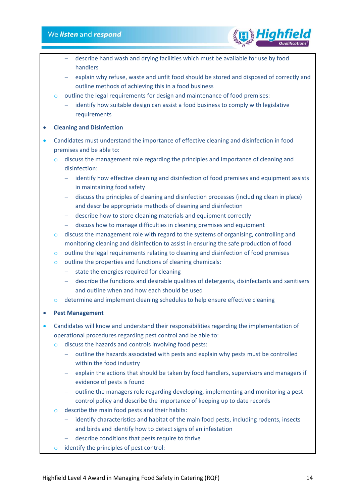- − describe hand wash and drying facilities which must be available for use by food handlers
- − explain why refuse, waste and unfit food should be stored and disposed of correctly and outline methods of achieving this in a food business
- o outline the legal requirements for design and maintenance of food premises:
	- − identify how suitable design can assist a food business to comply with legislative requirements

## • **Cleaning and Disinfection**

- Candidates must understand the importance of effective cleaning and disinfection in food premises and be able to:
	- discuss the management role regarding the principles and importance of cleaning and disinfection:
		- − identify how effective cleaning and disinfection of food premises and equipment assists in maintaining food safety
		- − discuss the principles of cleaning and disinfection processes (including clean in place) and describe appropriate methods of cleaning and disinfection
		- − describe how to store cleaning materials and equipment correctly
		- − discuss how to manage difficulties in cleaning premises and equipment
	- $\circ$  discuss the management role with regard to the systems of organising, controlling and monitoring cleaning and disinfection to assist in ensuring the safe production of food
	- $\circ$  outline the legal requirements relating to cleaning and disinfection of food premises
	- o outline the properties and functions of cleaning chemicals:
		- − state the energies required for cleaning
		- − describe the functions and desirable qualities of detergents, disinfectants and sanitisers and outline when and how each should be used
	- o determine and implement cleaning schedules to help ensure effective cleaning

## • **Pest Management**

- Candidates will know and understand their responsibilities regarding the implementation of operational procedures regarding pest control and be able to:
	- o discuss the hazards and controls involving food pests:
		- − outline the hazards associated with pests and explain why pests must be controlled within the food industry
		- − explain the actions that should be taken by food handlers, supervisors and managers if evidence of pests is found
		- − outline the managers role regarding developing, implementing and monitoring a pest control policy and describe the importance of keeping up to date records
	- $\circ$  describe the main food pests and their habits:
		- − identify characteristics and habitat of the main food pests, including rodents, insects and birds and identify how to detect signs of an infestation
		- − describe conditions that pests require to thrive
	- o identify the principles of pest control: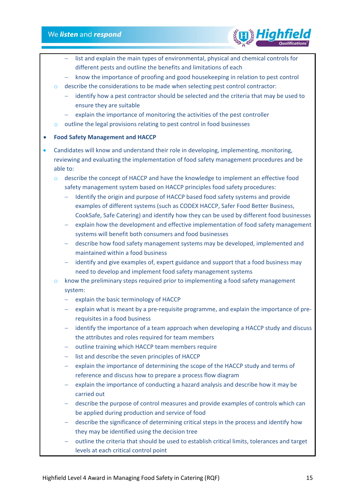

- list and explain the main types of environmental, physical and chemical controls for different pests and outline the benefits and limitations of each
- − know the importance of proofing and good housekeeping in relation to pest control
- o describe the considerations to be made when selecting pest control contractor:
	- − identify how a pest contractor should be selected and the criteria that may be used to ensure they are suitable
	- − explain the importance of monitoring the activities of the pest controller
- o outline the legal provisions relating to pest control in food businesses

## • **Food Safety Management and HACCP**

• Candidates will know and understand their role in developing, implementing, monitoring, reviewing and evaluating the implementation of food safety management procedures and be able to:

o describe the concept of HACCP and have the knowledge to implement an effective food safety management system based on HACCP principles food safety procedures:

- − Identify the origin and purpose of HACCP based food safety systems and provide examples of different systems (such as CODEX HACCP, Safer Food Better Business, CookSafe, Safe Catering) and identify how they can be used by different food businesses
- − explain how the development and effective implementation of food safety management systems will benefit both consumers and food businesses
- − describe how food safety management systems may be developed, implemented and maintained within a food business
- − identify and give examples of, expert guidance and support that a food business may need to develop and implement food safety management systems
- $\circ$  know the preliminary steps required prior to implementing a food safety management system:
	- − explain the basic terminology of HACCP
	- − explain what is meant by a pre-requisite programme, and explain the importance of prerequisites in a food business
	- − identify the importance of a team approach when developing a HACCP study and discuss the attributes and roles required for team members
	- − outline training which HACCP team members require
	- − list and describe the seven principles of HACCP
	- − explain the importance of determining the scope of the HACCP study and terms of reference and discuss how to prepare a process flow diagram
	- − explain the importance of conducting a hazard analysis and describe how it may be carried out
	- − describe the purpose of control measures and provide examples of controls which can be applied during production and service of food
	- − describe the significance of determining critical steps in the process and identify how they may be identified using the decision tree
	- − outline the criteria that should be used to establish critical limits, tolerances and target levels at each critical control point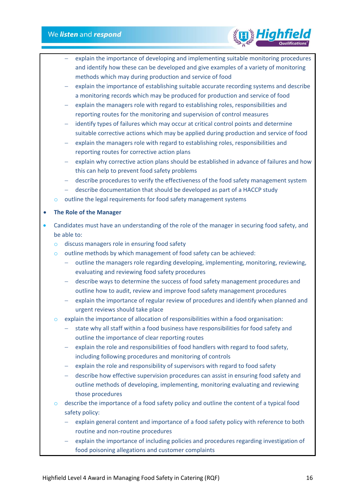

- explain the importance of developing and implementing suitable monitoring procedures and identify how these can be developed and give examples of a variety of monitoring methods which may during production and service of food
- explain the importance of establishing suitable accurate recording systems and describe a monitoring records which may be produced for production and service of food
- − explain the managers role with regard to establishing roles, responsibilities and reporting routes for the monitoring and supervision of control measures
- − identify types of failures which may occur at critical control points and determine suitable corrective actions which may be applied during production and service of food
- − explain the managers role with regard to establishing roles, responsibilities and reporting routes for corrective action plans
- − explain why corrective action plans should be established in advance of failures and how this can help to prevent food safety problems
- − describe procedures to verify the effectiveness of the food safety management system
- − describe documentation that should be developed as part of a HACCP study
- outline the legal requirements for food safety management systems

## • **The Role of the Manager**

- Candidates must have an understanding of the role of the manager in securing food safety, and be able to:
	- o discuss managers role in ensuring food safety
	- o outline methods by which management of food safety can be achieved:
		- − outline the managers role regarding developing, implementing, monitoring, reviewing, evaluating and reviewing food safety procedures
		- − describe ways to determine the success of food safety management procedures and outline how to audit, review and improve food safety management procedures
		- − explain the importance of regular review of procedures and identify when planned and urgent reviews should take place
	- o explain the importance of allocation of responsibilities within a food organisation:
		- state why all staff within a food business have responsibilities for food safety and outline the importance of clear reporting routes
		- − explain the role and responsibilities of food handlers with regard to food safety, including following procedures and monitoring of controls
		- − explain the role and responsibility of supervisors with regard to food safety
		- − describe how effective supervision procedures can assist in ensuring food safety and outline methods of developing, implementing, monitoring evaluating and reviewing those procedures
	- $\circ$  describe the importance of a food safety policy and outline the content of a typical food safety policy:
		- − explain general content and importance of a food safety policy with reference to both routine and non-routine procedures
		- explain the importance of including policies and procedures regarding investigation of food poisoning allegations and customer complaints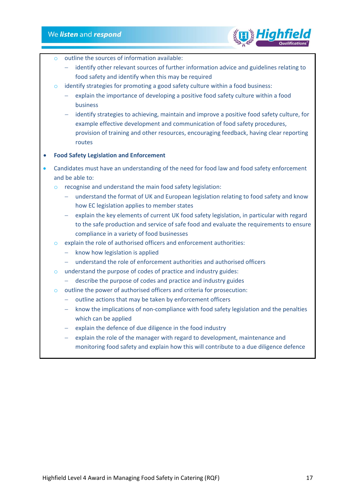

- $\circ$  outline the sources of information available:
	- − identify other relevant sources of further information advice and guidelines relating to food safety and identify when this may be required
- o identify strategies for promoting a good safety culture within a food business:
	- − explain the importance of developing a positive food safety culture within a food business
	- − identify strategies to achieving, maintain and improve a positive food safety culture, for example effective development and communication of food safety procedures, provision of training and other resources, encouraging feedback, having clear reporting routes
- **Food Safety Legislation and Enforcement**
- Candidates must have an understanding of the need for food law and food safety enforcement and be able to:
	- o recognise and understand the main food safety legislation:
		- − understand the format of UK and European legislation relating to food safety and know how EC legislation applies to member states
		- − explain the key elements of current UK food safety legislation, in particular with regard to the safe production and service of safe food and evaluate the requirements to ensure compliance in a variety of food businesses
	- o explain the role of authorised officers and enforcement authorities:
		- − know how legislation is applied
		- − understand the role of enforcement authorities and authorised officers
	- o understand the purpose of codes of practice and industry guides:
		- − describe the purpose of codes and practice and industry guides
	- o outline the power of authorised officers and criteria for prosecution:
		- − outline actions that may be taken by enforcement officers
		- know the implications of non-compliance with food safety legislation and the penalties which can be applied
		- explain the defence of due diligence in the food industry
		- explain the role of the manager with regard to development, maintenance and monitoring food safety and explain how this will contribute to a due diligence defence